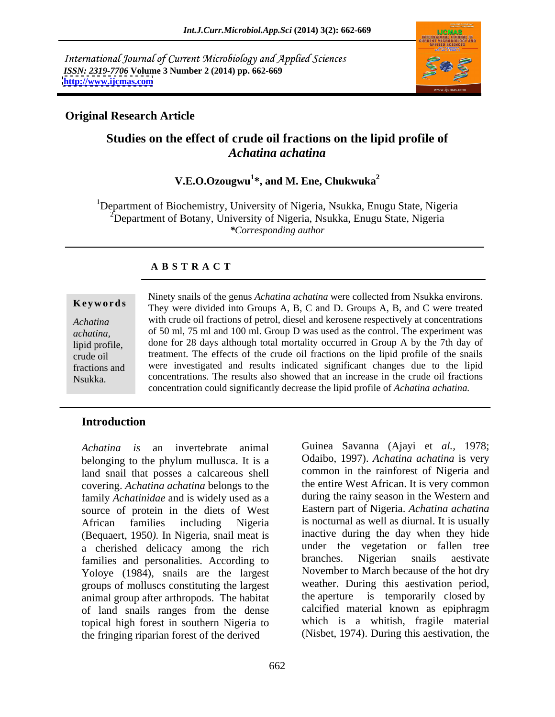International Journal of Current Microbiology and Applied Sciences *ISSN: 2319-7706* **Volume 3 Number 2 (2014) pp. 662-669 <http://www.ijcmas.com>**



## **Original Research Article**

# **Studies on the effect of crude oil fractions on the lipid profile of** *Achatina achatina*

## **V.E.O.Ozougwu<sup>1</sup> \*, and M. Ene, Chukwuka<sup>2</sup>**

<sup>1</sup>Department of Biochemistry, University of Nigeria, Nsukka, Enugu State, Nigeria  $2^2$ Department of Botany, University of Nigeria, Nsukka, Enugu State, Nigeria *\*Corresponding author*

## **A B S T R A C T**

**Ke ywo rds** They were divided into Groups A, B, C and D. Groups A, B, and C were treated *Achatina*  with crude oil fractions of petrol, diesel and kerosene respectively at concentrations *achatina,* of 50 ml, 75 ml and 100 ml. Group D was used as the control. The experiment was lipid profile, done for 28 days although total mortality occurred in Group A by the 7th day of crude oil treatment. The effects of the crude oil fractions on the lipid profile of the snails fractions and were investigated and results indicated significant changes due to the lipid Nsukka. concentrations. The results also showed that an increase in the crude oil fractions Ninety snails of the genus *Achatina achatina* were collected from Nsukka environs. concentration could significantly decrease the lipid profile of *Achatina achatina.*

## **Introduction**

*Achatina is* an invertebrate animal Guinea Savanna (Ajayi et *al.,* 1978; belonging to the phylum mullusca. It is a land snail that posses a calcareous shell covering. *Achatina achatina* belongs to the family *Achatinidae* and is widely used as a source of protein in the diets of West African families including Nigeria is nocturnal as well as diurnal. It is usually (Bequaert, 1950*).* In Nigeria, snail meat is a cherished delicacy among the rich<br>
families and personalities According to branches. Nigerian snails aestivate families and personalities. According to Yoloye (1984), snails are the largest groups of molluscs constituting the largest animal group after arthropods. The habitat of land snails ranges from the dense topical high forest in southern Nigeria to the fringing riparian forest of the derived

Odaibo, 1997). *Achatina achatina* is very common in the rainforest of Nigeria and the entire West African. It is very common during the rainy season in the Western and Eastern part of Nigeria. *Achatina achatina* inactive during the day when they hide under the vegetation or fallen tree branches. Nigerian snails aestivate November to March because of the hot dry weather. During this aestivation period, the aperture is temporarily closed by calcified material known as epiphragm which is a whitish, fragile material (Nisbet, 1974). During this aestivation, the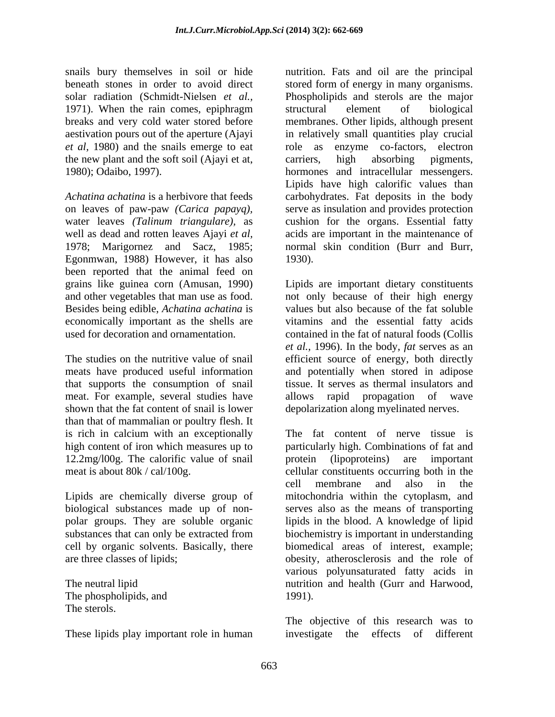the new plant and the soft soil (Ajayi et at,

water leaves *(Talinum triangulare),* as 1978; Marigornez and Sacz, 1985; Egonmwan, 1988) However, it has also 1930). been reported that the animal feed on and other vegetables that man use as food. Besides being edible, *Achatina achatina* is

that supports the consumption of snail meat. For example, several studies have allows rapid propagation of wave than that of mammalian or poultry flesh. It 12.2mg/l00g. The calorific value of snail protein (lipoproteins) are important

polar groups. They are soluble organic

The phospholipids, and  $1991$ . The sterols.

These lipids play important role in human investigate the effects of different

snails bury themselves in soil or hide nutrition. Fats and oil are the principal beneath stones in order to avoid direct stored form of energy in many organisms. solar radiation (Schmidt-Nielsen *et al.,* Phospholipids and sterols are the major 1971). When the rain comes, epiphragm structural element of biological breaks and very cold water stored before membranes. Other lipids, although present aestivation pours out of the aperture (Ajayi in relatively small quantities play crucial *et al,* 1980) and the snails emerge to eat role as enzyme co-factors, electron 1980); Odaibo, 1997). hormones and intracellular messengers. *Achatina achatina* is a herbivore that feeds carbohydrates. Fat deposits in the body on leaves of paw-paw *(Carica papayq),* serve as insulation and provides protection well as dead and rotten leaves Ajayi *et al*, acids are important in the maintenance of structural element of biological carriers, high absorbing pigments, Lipids have high calorific values than cushion for the organs. Essential fatty normal skin condition (Burr and Burr, 1930).

grains like guinea corn (Amusan, 1990) Lipids are important dietary constituents economically important as the shells are vitamins and the essential fatty acids used for decoration and ornamentation. contained in the fat of natural foods (Collis The studies on the nutritive value of snail efficient source of energy, both directly meats have produced useful information and potentially when stored in adipose shown that the fat content of snail is lower depolarization along myelinated nerves. not only because of their high energy values but also because of the fat soluble *et al.,* 1996). In the body, *fat* serves as an tissue. It serves as thermal insulators and allows rapid propagation of wave

is rich in calcium with an exceptionally The fat content of nerve tissue is high content of iron which measures up to particularly high. Combinations of fat and meat is about 80k / cal/100g. cellular constituents occurring both in the Lipids are chemically diverse group of mitochondria within the cytoplasm, and biological substances made up of non- serves also as the means of transporting substances that can only be extracted from biochemistry is important in understanding cell by organic solvents. Basically, there biomedical areas of interest, example; are three classes of lipids; obesity, atherosclerosis and the role of The neutral lipid nutrition and health (Gurr and Harwood, protein (lipoproteins) are important cell membrane and also in the lipids in the blood. A knowledge of lipid biochemistry is important in understanding various polyunsaturated fatty acids in 1991).

> The objective of this research was to investigate the effects of different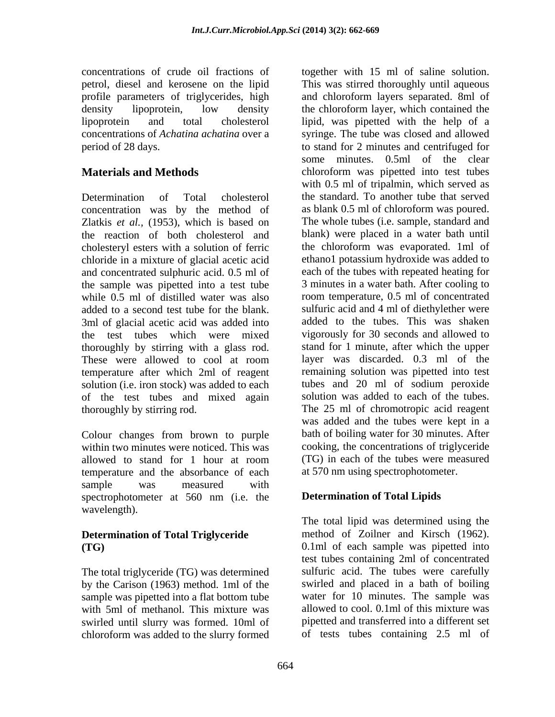concentrations of crude oil fractions of together with 15 ml of saline solution.

Zlatkis *et al.,* (1953), which is based on the reaction of both cholesterol and cholesteryl esters with a solution of ferric chloride in a mixture of glacial acetic acid and concentrated sulphuric acid. 0.5 ml of the sample was pipetted into a test tube while 0.5 ml of distilled water was also 3ml of glacial acetic acid was added into the test tubes which were mixed thoroughly by stirring with a glass rod. of the test tubes and mixed again

Colour changes from brown to purple within two minutes were noticed. This was temperature and the absorbance of each sample was measured with spectrophotometer at 560 nm (i.e. the wavelength).

The total triglyceride (TG) was determined by the Carison (1963) method. 1ml of the sample was pipetted into a flat bottom tube swirled until slurry was formed. 10ml of chloroform was added to the slurry formed

petrol, diesel and kerosene on the lipid This was stirred thoroughly until aqueous profile parameters of triglycerides, high and chloroform layers separated. 8ml of density lipoprotein, low density the chloroform layer, which contained the lipoprotein and total cholesterol lipid, was pipetted with the help of a concentrations of *Achatina achatina* over a syringe. The tube was closed and allowed period of 28 days. to stand for 2 minutes and centrifuged for **Materials and Methods chloroform** was pipetted into test tubes Determination of Total cholesterol the standard. To another tube that served concentration was by the method of as blank 0.5 ml of chloroform was poured. added to a second test tube for the blank. Sulfuric acid and 4 ml of diethylether were These were allowed to cool at room layer was discarded. 0.3 ml of the temperature after which 2ml of reagent remaining solution was pipetted into test solution (i.e. iron stock) was added to each tubes and 20 ml of sodium peroxide thoroughly by stirring rod. The 25 ml of chromotropic acid reagent allowed to stand for 1 hour at room (TG) in each of the tubes were measured some minutes. 0.5ml of the clear with 0.5 ml of tripalmin, which served as The whole tubes (i.e. sample, standard and blank) were placed in a water bath until the chloroform was evaporated. 1ml of ethano1 potassium hydroxide was added to each of the tubes with repeated heating for 3 minutes in a water bath. After cooling to room temperature, 0.5 ml of concentrated added to the tubes. This was shaken vigorously for 30 seconds and allowed to stand for 1 minute, after which the upper layer was discarded. 0.3 ml of the solution was added to each of the tubes. was added and the tubes were kept in a bath of boiling water for 30 minutes. After cooking, the concentrations of triglyceride (TG) in each of the tubes were measured at 570 nm using spectrophotometer.

## **Determination of Total Lipids**

**Determination of Total Triglyceride** method of Zoilner and Kirsch (1962). **(TG)**  0.1ml of each sample was pipetted into with 5ml of methanol. This mixture was allowed to cool. 0.1ml of this mixture was The total lipid was determined using the test tubes containing 2ml of concentrated sulfuric acid. The tubes were carefully swirled and placed in a bath of boiling water for 10 minutes. The sample was pipetted and transferred into a different set of tests tubes containing 2.5 ml of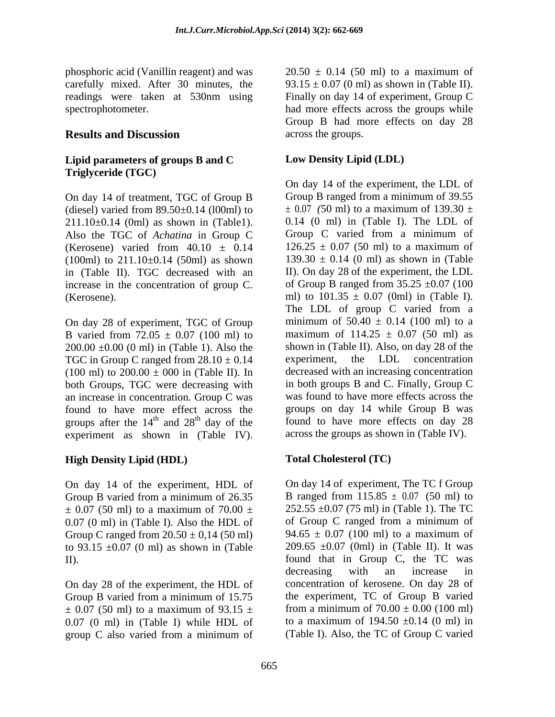phosphoric acid (Vanillin reagent) and was  $20.50 \pm 0.14$  (50 ml) to a maximum of carefully mixed. After 30 minutes, the readings were taken at 530nm using

## **Lipid parameters of groups B and C Triglyceride (TGC)**

On day 14 of treatment, TGC of Group B (diesel) varied from  $89.50\pm0.14$  (l00ml) to  $211.10\pm0.14$  (0ml) as shown in (Table1). (Kerosene) varied from  $40.10 \pm 0.14$  126.25  $\pm 0.07$  (50 ml) to a maximum of in (Table II). TGC decreased with an increase in the concentration of group C.

On day 28 of experiment, TGC of Group B varied from  $72.05 \pm 0.07$  (100 ml) to  $200.00 \pm 0.00$  (0 ml) in (Table 1). Also the shown in (Table II). Also, o<br>TGC in Group C ranged from  $28.10 \pm 0.14$  experiment, the LDL TGC in Group C ranged from  $28.10 \pm 0.14$  experiment, the LDL concentration (100 ml) to  $200.00 \pm 000$  in (Table II). In both Groups, TGC were decreasing with an increase in concentration. Group C was found to have more effect across the groups after the  $14<sup>th</sup>$  and  $28<sup>th</sup>$  day of the experiment as shown in (Table IV).

## **High Density Lipid (HDL)**

0.07 (0 ml) in (Table I). Also the HDL of of Group C ranged from a minimum of Group C ranged from  $20.50 \pm 0.14$  (50 ml) 94.65  $\pm$  0.07 (100 ml) to a maximum of to  $93.15 \pm 0.07$  (0 ml) as shown in (Table

Group B varied from a minimum of 15.75 0.07 (0 ml) in (Table I) while HDL of group C also varied from a minimum of (Table I). Also, the TC of Group C varied

spectrophotometer. had more effects across the groups while **Results and Discussion** across the groups.  $20.50 \pm 0.14$  (50 ml) to a maximum of 93.15  $\pm$  0.07 (0 ml) as shown in (Table II). Finally on day 14 of experiment, Group C Group B had more effects on day 28 across the groups.

## **Low Density Lipid (LDL)**

Also the TGC of *Achatina* in Group C Group C varied from a minimum of  $(100ml)$  to  $211.10\pm0.14$  (50ml) as shown  $139.30 \pm 0.14$  (0 ml) as shown in (Table (Kerosene).  $ml$ ) to  $101.35 \pm 0.07$  (0ml) in (Table I).  $th$  and  $28<sup>th</sup>$  day of the found to have more effects on day 28 On day 14 of the experiment, the LDL of Group B ranged from a minimum of 39.55 *±* 0.07 *(*50 ml) to a maximum of 139.30 ± 0.14 (0 ml) in (Table I). The LDL of  $126.25 \pm 0.07$  (50 ml) to a maximum of II). On day 28 of the experiment, the LDL of Group B ranged from  $35.25 \pm 0.07$  (100 The LDL of group C varied from a minimum of  $50.40 \pm 0.14$  (100 ml) to a maximum of  $114.25 \pm 0.07$  (50 ml) as shown in (Table II). Also, on day 28 of the experiment, the LDL concentration decreased with an increasing concentration in both groups B and C. Finally, Group C was found to have more effects across the groups on day 14 while Group B was across the groups as shown in (Table IV).

## **Total Cholesterol (TC)**

On day 14 of the experiment, HDL of On day 14 of experiment, The TC f Group B varied from a minimum of  $26.35$  B ranged from  $115.85 \pm 0.07$  (50 ml) to  $\pm$  0.07 (50 ml) to a maximum of 70.00  $\pm$  252.55  $\pm$ 0.07 (75 ml) in (Table 1). The TC II). found that in Group C, the TC was On day 28 of the experiment, the HDL of concentration of kerosene. On day 28 of  $\pm$  0.07 (50 ml) to a maximum of 93.15  $\pm$  from a minimum of 70.00  $\pm$  0.00 (100 ml) On day 14 of experiment, The TC f Group B ranged from 115.85 *±* 0.07 (50 ml) to  $252.55 \pm 0.07$  (75 ml) in (Table 1). The TC of Group C ranged from a minimum of 94.65  $\pm$  0.07 (100 ml) to a maximum of 209.65  $\pm 0.07$  (0ml) in (Table II). It was decreasing with an increase in the experiment, TC of Group B varied from a minimum of  $70.00 \pm 0.00$  (100 ml) to a maximum of  $194.50 \pm 0.14$  (0 ml) in (Table I). Also, the TC of Group C varied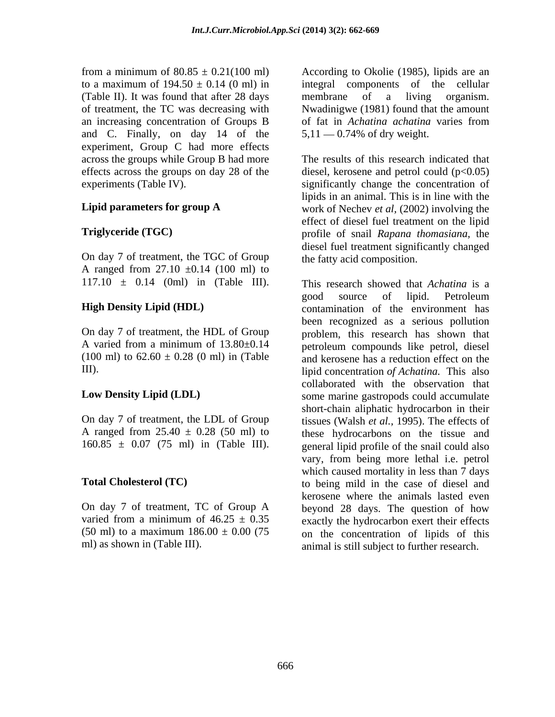from a minimum of  $80.85 \pm 0.21(100 \text{ ml})$  According to Okolie (1985), lipids are an to a maximum of  $194.50 \pm 0.14$  (0 ml) in integral components of the cellular (Table II). It was found that after 28 days membrane of a living organism. of treatment, the TC was decreasing with Nwadinigwe (1981) found that the amount an increasing concentration of Groups B of fat in Achatina achatina varies from and C. Finally, on day 14 of the experiment, Group C had more effects across the groups while Group B had more

On day 7 of treatment, the TGC of Group A ranged from  $27.10 \pm 0.14$  (100 ml) to 117.10 ± 0.14 (0ml) in (Table III).

On day 7 of treatment, the LDL of Group

membrane of a living organism. of fat in *Achatina achatina* varies from  $5,11 - 0.74\%$  of dry weight.

effects across the groups on day 28 of the diesel, kerosene and petrol could  $(p<0.05)$ experiments (Table IV). significantly change the concentration of **Lipid parameters for group A** work of Nechev *et al*, (2002) involving the **Triglyceride (TGC)**  profile of snail *Rapana thomasiana,* the The results of this research indicated that lipids in an animal. This is in line with the effect of diesel fuel treatment on the lipid diesel fuel treatment significantly changed the fatty acid composition.

**High Density Lipid (HDL)** contamination of the environment has On day 7 of treatment, the HDL of Group problem, this research has shown that A varied from a minimum of 13.80±0.14 petroleum compounds like petrol, diesel  $(100 \text{ ml})$  to  $62.60 \pm 0.28$  (0 ml) in (Table and kerosene has a reduction effect on the III). lipid concentration *of Achatina.* This also **Low Density Lipid (LDL)** some marine gastropods could accumulate A ranged from  $25.40 \pm 0.28$  (50 ml) to these hydrocarbons on the tissue and  $160.85 \pm 0.07$  (75 ml) in (Table III). general lipid profile of the snail could also vary, from being more lethal i.e. petrol **Total Cholesterol (TC)** which caused mortality in less than 7 days<br>to being mild in the case of diesel and On day 7 of treatment, TC of Group A beyond 28 days. The question of how varied from a minimum of  $46.25 \pm 0.35$  exactly the hydrocarbon exert their effects  $(50 \text{ ml})$  to a maximum  $186.00 \pm 0.00$  (75 on the concentration of lipids of this ml) as shown in (Table III). animal is still subject to further research. This research showed that *Achatina* is a good source of lipid. Petroleum been recognized as a serious pollution collaborated with the observation that short-chain aliphatic hydrocarbon in their tissues (Walsh *et al.,* 1995). The effects of to being mild in the case of diesel and kerosene where the animals lasted even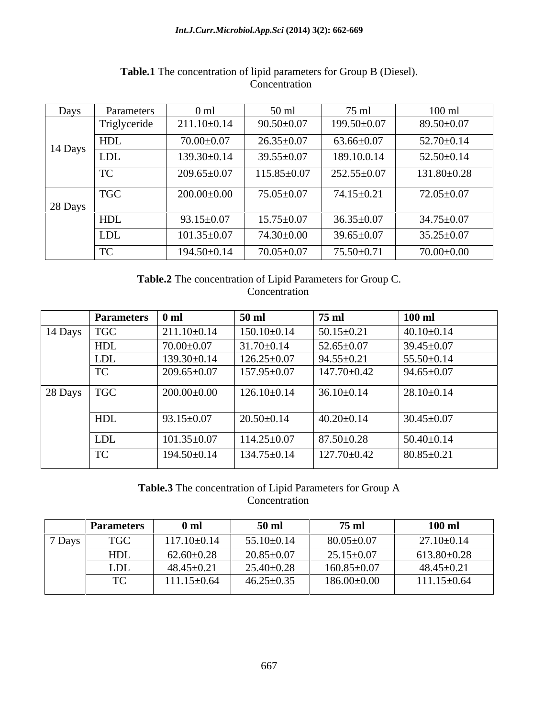### *Int.J.Curr.Microbiol.App.Sci* **(2014) 3(2): 662-669**

| Days    | Parameters   | 0 <sub>ml</sub>   | $50$ ml           | 75 ml             | $100 \text{ ml}$  |
|---------|--------------|-------------------|-------------------|-------------------|-------------------|
|         | Triglyceride | $211.10\pm0.14$   | $90.50 + 0.07$    | 199.50±0.07       | 89.50±0.07        |
| 14 Days | HDL          | $70.00 \pm 0.07$  | $26.35 \pm 0.07$  | $63.66 \pm 0.07$  | $52.70 \pm 0.14$  |
|         | <b>LDL</b>   | $139.30 \pm 0.14$ | $39.55 \pm 0.07$  | 189.10.0.14       | $52.50 \pm 0.14$  |
|         | TC           | $209.65 \pm 0.07$ | $115.85 \pm 0.07$ | $252.55 \pm 0.07$ | $131.80 \pm 0.28$ |
|         | <b>TGC</b>   | $200.00 \pm 0.00$ | $75.05 \pm 0.07$  | $74.15 \pm 0.21$  | $72.05 \pm 0.07$  |
| 28 Days |              |                   |                   |                   |                   |
|         | <b>HDL</b>   | $93.15 \pm 0.07$  | $15.75 \pm 0.07$  | $36.35 \pm 0.07$  | $34.75 \pm 0.07$  |
|         | <b>LDL</b>   | $101.35 \pm 0.07$ | 74.30±0.00        | $39.65 \pm 0.07$  | $35.25 \pm 0.07$  |
|         | TC           | 194.50±0.14       | $70.05 \pm 0.07$  | $75.50 \pm 0.71$  | $70.00 \pm 0.00$  |

## **Table.1** The concentration of lipid parameters for Group B (Diesel). Concentration

**Table.2** The concentration of Lipid Parameters for Group C. **Concentration** 

|         | <b>Parameters</b> | 0 <sub>m</sub>    | $50$ ml           | 75 ml             | $100$ ml         |
|---------|-------------------|-------------------|-------------------|-------------------|------------------|
| 14 Days | <b>TGC</b>        | $211.10 \pm 0.14$ | $150.10 \pm 0.14$ | $50.15 \pm 0.21$  | $40.10\pm0.14$   |
|         | HDL               | $70.00 + 0.07$    | $31.70 \pm 0.14$  | $52.65 \pm 0.07$  | 39.45±0.07       |
|         | LDL               | $139.30 \pm 0.14$ | $126.25 \pm 0.07$ | $94.55 \pm 0.21$  | $55.50 \pm 0.14$ |
|         | <b>TC</b>         | $209.65 \pm 0.07$ | $157.95 \pm 0.07$ | 147.70±0.42       | $94.65 \pm 0.07$ |
| 28 Days | <b>TGC</b>        | $200.00\pm0.00$   | $126.10\pm0.14$   | $36.10 \pm 0.14$  | $28.10\pm0.14$   |
|         | HDL               | $93.15 \pm 0.07$  | $20.50 \pm 0.14$  | $40.20 \pm 0.14$  | $30.45 \pm 0.07$ |
|         | <b>LDL</b>        | $101.35 \pm 0.07$ | $114.25 \pm 0.07$ | $87.50 \pm 0.28$  | $50.40 \pm 0.14$ |
|         | TC                | 194.50±0.14       | $134.75 \pm 0.14$ | $127.70 \pm 0.42$ | $80.85 \pm 0.21$ |

### **Table.3** The concentration of Lipid Parameters for Group A **Concentration**

|          | <b>Parameters</b>               | 0 <sub>m1</sub>   | 50 <sub>m</sub>     | 75 ml             | $100$ ml          |
|----------|---------------------------------|-------------------|---------------------|-------------------|-------------------|
| $7$ Days | <b>TGC</b>                      | $117.10 \pm 0.14$ | 55.10<br>$J\pm0.14$ | $80.05 \pm 0.07$  | $27.10 \pm 0.14$  |
|          | HDL                             | $62.60 \pm 0.28$  | $20.85 \pm 0.07$    | $25.15 \pm 0.07$  | $613.80 \pm 0.28$ |
|          | <b>LDL</b>                      | $48.45 \pm 0.21$  | $J\pm0.28$<br>25.40 | $160.85 \pm 0.07$ | 48.45±0.21        |
|          | $\mathbf{m}$ $\alpha$<br>$\sim$ | $111.15 \pm 0.64$ | $46.25 \pm 0.35$    | $186.00\pm0.00$   | $111.15 \pm 0.64$ |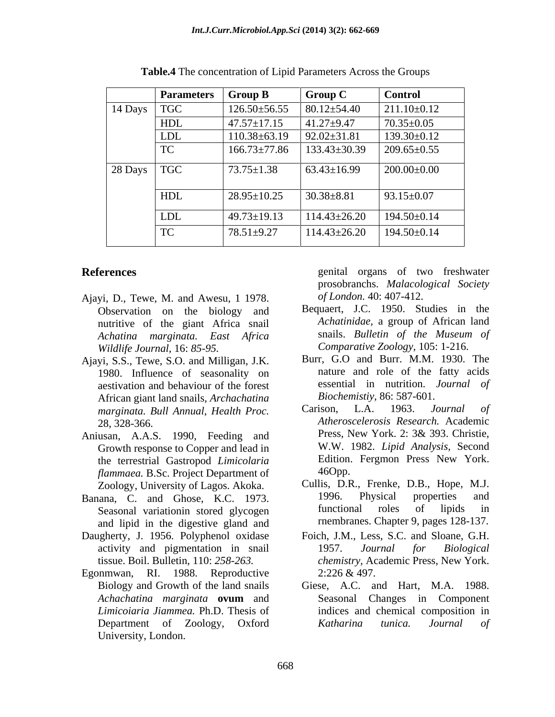|         | <b>Parameters</b> | $\vert$ Group B                         | <b>Group C</b>     | <b>Control</b>    |
|---------|-------------------|-----------------------------------------|--------------------|-------------------|
| 14 Days | <b>TGC</b>        | $126.50 \pm 56.55$                      | $80.12 \pm 54.40$  | $211.10\pm0.12$   |
|         | HDL               | $47.57 \pm 17.15$                       | $41.27 + 9.47$     | $70.35 \pm 0.05$  |
|         | LDL               | $110.38 \pm 63.19$                      | $92.02 \pm 31.81$  | $139.30 \pm 0.12$ |
|         | TC                | $166.73 \pm 77.86$   133.43 $\pm$ 30.39 |                    | $209.65 \pm 0.55$ |
| 28 Days | <b>TGC</b>        | $73.75 \pm 1.38$                        | $63.43 \pm 16.99$  | $200.00\pm0.00$   |
|         | HDL               | $28.95 \pm 10.25$                       | $30.38 + 8.81$     | $93.15 \pm 0.07$  |
|         | LDL               | $49.73 \pm 19.13$                       | $114.43 \pm 26.20$ | $194.50 \pm 0.14$ |
|         | TC                | $78.51 + 9.27$                          | $114.43 \pm 26.20$ | $194.50 \pm 0.14$ |

**Table.4** The concentration of Lipid Parameters Across the Groups

- Ajayi, D., Tewe, M. and Awesu, 1 1978. Observation on the biology and nutritive of the giant Africa snail *Wildlife Journal,* 16: *85-95.*
- Ajayi, S.S., Tewe, S.O. and Milligan, J.K. 1980. Influence of seasonality on aestivation and behaviour of the forest African giant land snails, *Archachatina* **Biochemistiy, 86: 587-601**.<br>marginata Bull Annual Health Process Carison, L.A. 1963. Journal of *marginata. Bull Annual, Health Proc.*
- Growth response to Copper and lead in the terrestrial Gastropod *Limicolaria* Edition.<br> *Hammaea* B.Sc Project Department of 46Opp. *flammaea.* B.Sc. Project Department of
- Banana, C. and Ghose, K.C. 1973. 1996. Physical properties<br>Seasonal variation stored glycogen functional roles of lipids and lipid in the digestive gland and
- Daugherty, J. 1956. Polyphenol oxidase
- Egonmwan, RI. 1988. Reproductive  $2:226 \& 497$ . University, London.

**References** genital organs of two freshwater prosobranchs. *Malacological Society of London.* 40: 407-412.

- *Achatina marginata. East Africa* Bequaert, J.C. 1950. Studies in the *Achatinidae,* a group of African land snails. *Bulletin of the Museum of Comparative Zoology,* 105: 1-216.
	- Burr, G.O and Burr. M.M. 1930. The nature and role of the fatty acids essential in nutrition. *Journal of Biochemistiy,* 86: 587-601.
- 28, 328-366. *Atheroscelerosis Research.* Academic Aniusan, A.A.S. 1990, Feeding and Press, New York. 2: 3& 393. Christie, Carison, L.A. 1963. *Journal of* Press, New York. 2: 3& 393. Christie, W.W. 1982. *Lipid Analysis,* Second Edition. Fergmon Press New York. 46Opp.
	- Zoology, University of Lagos. Akoka. Cullis, D.R., Frenke, D.B., Hope, M.J.<br>Lana C and Ghose, K.C. 1973 1996. Physical properties and Seasonal variation in stored glycogen functional roles of lipids in Cullis, D.R., Frenke, D.B., Hope, M.J. 1996. Physical properties and functional roles of lipids in rnembranes. Chapter 9, pages 128-137.
	- activity and pigmentation in snail 1957. Journal for Biological tissue. Boil. Bulletin, 110: *258-263. chemistry,* Academic Press, New York. Foich, J.M., Less, S.C. and Sloane, G.H. 1957. *Journal for Biological* 2:226 & 497.
	- Biology and Growth of the land snails Giese, A.C. and Hart, M.A. 1988. *Achachatina marginata* **ovum** and Seasonal Changes in Component *Limicoiaria Jiammea.* Ph.D. Thesis of indices and chemical composition in Department of Zoology, Oxford **Katharina** tunica. Journal of *Katharina tunica. Journal of*